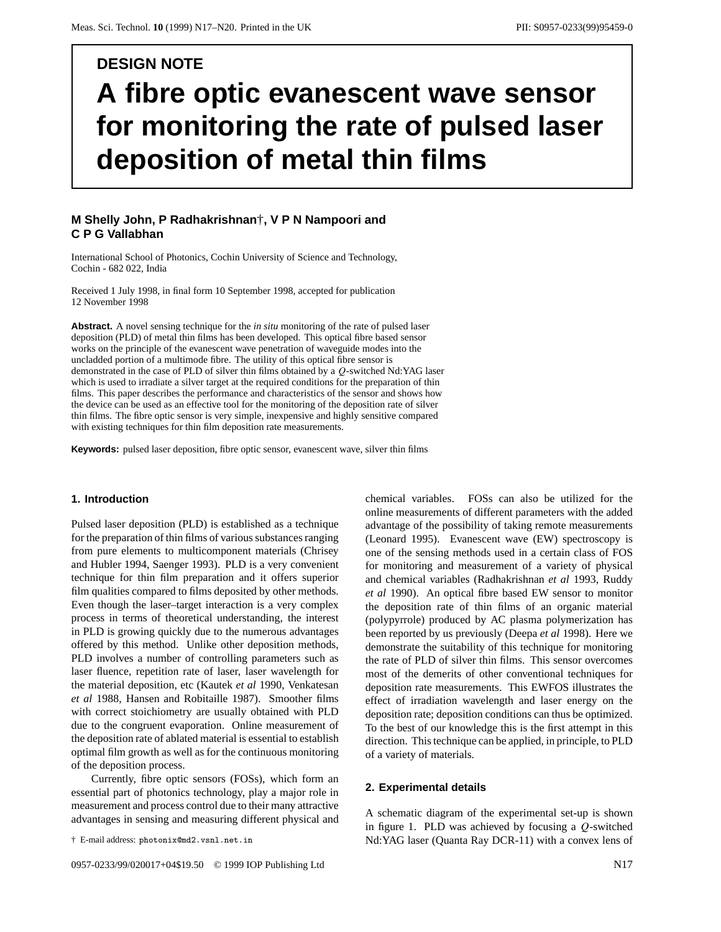# **DESIGN NOTE A fibre optic evanescent wave sensor for monitoring the rate of pulsed laser deposition of metal thin films**

# **M Shelly John, P Radhakrishnan**†**,VPN Nampoori and CPGVallabhan**

International School of Photonics, Cochin University of Science and Technology, Cochin - 682 022, India

Received 1 July 1998, in final form 10 September 1998, accepted for publication 12 November 1998

**Abstract.** A novel sensing technique for the *in situ* monitoring of the rate of pulsed laser deposition (PLD) of metal thin films has been developed. This optical fibre based sensor works on the principle of the evanescent wave penetration of waveguide modes into the uncladded portion of a multimode fibre. The utility of this optical fibre sensor is demonstrated in the case of PLD of silver thin films obtained by a *Q*-switched Nd:YAG laser which is used to irradiate a silver target at the required conditions for the preparation of thin films. This paper describes the performance and characteristics of the sensor and shows how the device can be used as an effective tool for the monitoring of the deposition rate of silver thin films. The fibre optic sensor is very simple, inexpensive and highly sensitive compared with existing techniques for thin film deposition rate measurements.

**Keywords:** pulsed laser deposition, fibre optic sensor, evanescent wave, silver thin films

#### **1. Introduction**

Pulsed laser deposition (PLD) is established as a technique for the preparation of thin films of various substances ranging from pure elements to multicomponent materials (Chrisey and Hubler 1994, Saenger 1993). PLD is a very convenient technique for thin film preparation and it offers superior film qualities compared to films deposited by other methods. Even though the laser–target interaction is a very complex process in terms of theoretical understanding, the interest in PLD is growing quickly due to the numerous advantages offered by this method. Unlike other deposition methods, PLD involves a number of controlling parameters such as laser fluence, repetition rate of laser, laser wavelength for the material deposition, etc (Kautek *et al* 1990, Venkatesan *et al* 1988, Hansen and Robitaille 1987). Smoother films with correct stoichiometry are usually obtained with PLD due to the congruent evaporation. Online measurement of the deposition rate of ablated material is essential to establish optimal film growth as well as for the continuous monitoring of the deposition process.

Currently, fibre optic sensors (FOSs), which form an essential part of photonics technology, play a major role in measurement and process control due to their many attractive advantages in sensing and measuring different physical and

† E-mail address: photonix@md2.vsnl.net.in

chemical variables. FOSs can also be utilized for the online measurements of different parameters with the added advantage of the possibility of taking remote measurements (Leonard 1995). Evanescent wave (EW) spectroscopy is one of the sensing methods used in a certain class of FOS for monitoring and measurement of a variety of physical and chemical variables (Radhakrishnan *et al* 1993, Ruddy *et al* 1990). An optical fibre based EW sensor to monitor the deposition rate of thin films of an organic material (polypyrrole) produced by AC plasma polymerization has been reported by us previously (Deepa *et al* 1998). Here we demonstrate the suitability of this technique for monitoring the rate of PLD of silver thin films. This sensor overcomes most of the demerits of other conventional techniques for deposition rate measurements. This EWFOS illustrates the effect of irradiation wavelength and laser energy on the deposition rate; deposition conditions can thus be optimized. To the best of our knowledge this is the first attempt in this direction. This technique can be applied, in principle, to PLD of a variety of materials.

#### **2. Experimental details**

A schematic diagram of the experimental set-up is shown in figure 1. PLD was achieved by focusing a *Q*-switched Nd:YAG laser (Quanta Ray DCR-11) with a convex lens of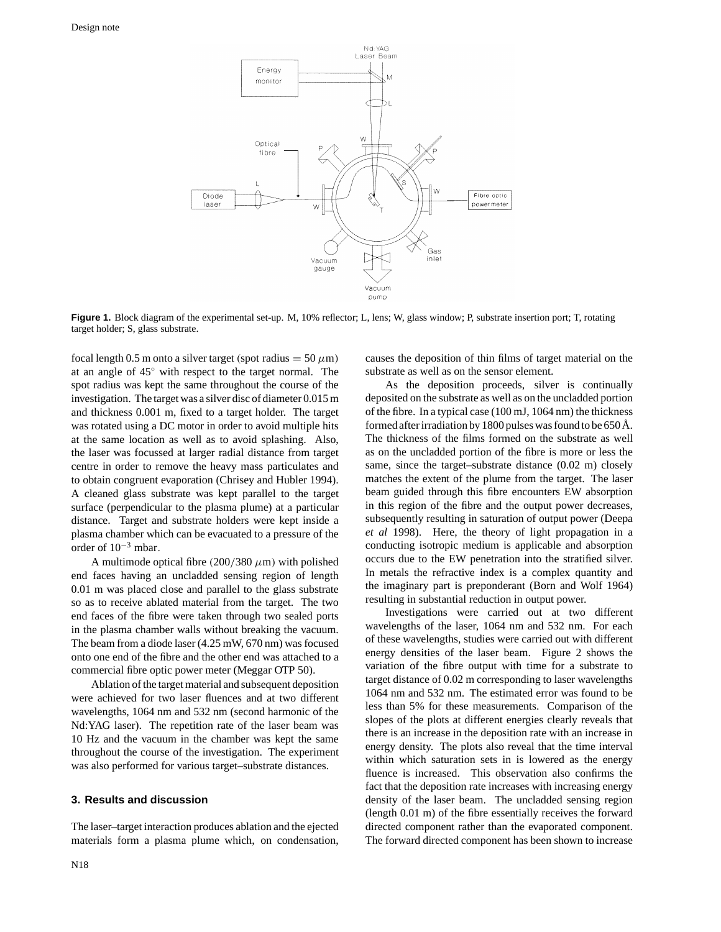

**Figure 1.** Block diagram of the experimental set-up. M, 10% reflector; L, lens; W, glass window; P, substrate insertion port; T, rotating target holder; S, glass substrate.

focal length 0.5 m onto a silver target *(spot radius* =  $50 \mu m$ ) at an angle of 45◦ with respect to the target normal. The spot radius was kept the same throughout the course of the investigation. The target was a silver disc of diameter 0.015 m and thickness 0.001 m, fixed to a target holder. The target was rotated using a DC motor in order to avoid multiple hits at the same location as well as to avoid splashing. Also, the laser was focussed at larger radial distance from target centre in order to remove the heavy mass particulates and to obtain congruent evaporation (Chrisey and Hubler 1994). A cleaned glass substrate was kept parallel to the target surface (perpendicular to the plasma plume) at a particular distance. Target and substrate holders were kept inside a plasma chamber which can be evacuated to a pressure of the order of 10−<sup>3</sup> mbar*.*

A multimode optical fibre  $(200/380 \ \mu m)$  with polished end faces having an uncladded sensing region of length 0.01 m was placed close and parallel to the glass substrate so as to receive ablated material from the target. The two end faces of the fibre were taken through two sealed ports in the plasma chamber walls without breaking the vacuum. The beam from a diode laser (4.25 mW, 670 nm) was focused onto one end of the fibre and the other end was attached to a commercial fibre optic power meter (Meggar OTP 50).

Ablation of the target material and subsequent deposition were achieved for two laser fluences and at two different wavelengths, 1064 nm and 532 nm (second harmonic of the Nd:YAG laser). The repetition rate of the laser beam was 10 Hz and the vacuum in the chamber was kept the same throughout the course of the investigation. The experiment was also performed for various target–substrate distances.

## **3. Results and discussion**

The laser–target interaction produces ablation and the ejected materials form a plasma plume which, on condensation,

N18

causes the deposition of thin films of target material on the substrate as well as on the sensor element.

As the deposition proceeds, silver is continually deposited on the substrate as well as on the uncladded portion of the fibre. In a typical case (100 mJ, 1064 nm) the thickness formed after irradiation by 1800 pulses was found to be 650 Å. The thickness of the films formed on the substrate as well as on the uncladded portion of the fibre is more or less the same, since the target–substrate distance (0.02 m) closely matches the extent of the plume from the target. The laser beam guided through this fibre encounters EW absorption in this region of the fibre and the output power decreases, subsequently resulting in saturation of output power (Deepa *et al* 1998). Here, the theory of light propagation in a conducting isotropic medium is applicable and absorption occurs due to the EW penetration into the stratified silver. In metals the refractive index is a complex quantity and the imaginary part is preponderant (Born and Wolf 1964) resulting in substantial reduction in output power.

Investigations were carried out at two different wavelengths of the laser, 1064 nm and 532 nm. For each of these wavelengths, studies were carried out with different energy densities of the laser beam. Figure 2 shows the variation of the fibre output with time for a substrate to target distance of 0.02 m corresponding to laser wavelengths 1064 nm and 532 nm. The estimated error was found to be less than 5% for these measurements. Comparison of the slopes of the plots at different energies clearly reveals that there is an increase in the deposition rate with an increase in energy density. The plots also reveal that the time interval within which saturation sets in is lowered as the energy fluence is increased. This observation also confirms the fact that the deposition rate increases with increasing energy density of the laser beam. The uncladded sensing region (length 0.01 m) of the fibre essentially receives the forward directed component rather than the evaporated component. The forward directed component has been shown to increase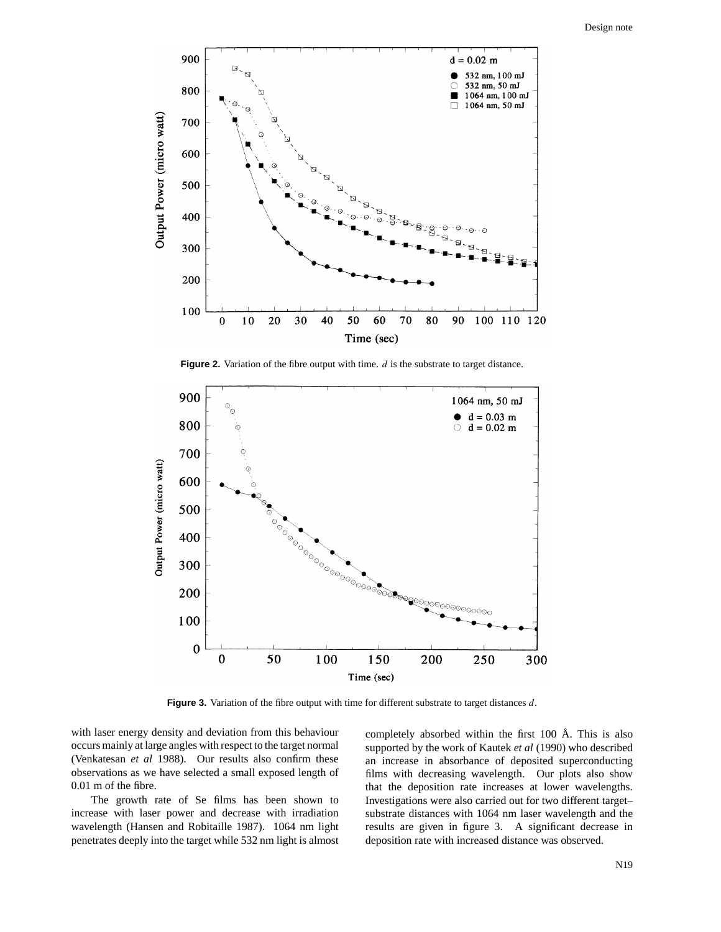

**Figure 2.** Variation of the fibre output with time. *d* is the substrate to target distance.



**Figure 3.** Variation of the fibre output with time for different substrate to target distances *d*.

with laser energy density and deviation from this behaviour occurs mainly at large angles with respect to the target normal (Venkatesan *et al* 1988). Our results also confirm these observations as we have selected a small exposed length of 0.01 m of the fibre.

The growth rate of Se films has been shown to increase with laser power and decrease with irradiation wavelength (Hansen and Robitaille 1987). 1064 nm light penetrates deeply into the target while 532 nm light is almost completely absorbed within the first 100 Å. This is also supported by the work of Kautek *et al* (1990) who described an increase in absorbance of deposited superconducting films with decreasing wavelength. Our plots also show that the deposition rate increases at lower wavelengths. Investigations were also carried out for two different target– substrate distances with 1064 nm laser wavelength and the results are given in figure 3. A significant decrease in deposition rate with increased distance was observed.